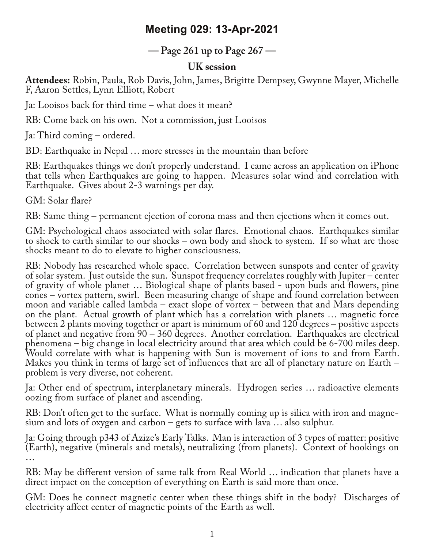## **Meeting 029: 13-Apr-2021**

**— Page 261 up to Page 267 —**

## **UK session**

**Attendees:** Robin, Paula, Rob Davis, John, James, Brigitte Dempsey, Gwynne Mayer, Michelle F, Aaron Settles, Lynn Elliott, Robert

Ja: Looisos back for third time – what does it mean?

RB: Come back on his own. Not a commission, just Looisos

Ja: Third coming – ordered.

BD: Earthquake in Nepal … more stresses in the mountain than before

RB: Earthquakes things we don't properly understand. I came across an application on iPhone that tells when Earthquakes are going to happen. Measures solar wind and correlation with Earthquake. Gives about 2-3 warnings per day.

GM: Solar flare?

RB: Same thing – permanent ejection of corona mass and then ejections when it comes out.

GM: Psychological chaos associated with solar flares. Emotional chaos. Earthquakes similar to shock to earth similar to our shocks – own body and shock to system. If so what are those shocks meant to do to elevate to higher consciousness.

RB: Nobody has researched whole space. Correlation between sunspots and center of gravity of solar system. Just outside the sun. Sunspot frequency correlates roughly with Jupiter – center of gravity of whole planet … Biological shape of plants based - upon buds and flowers, pine cones – vortex pattern, swirl. Been measuring change of shape and found correlation between moon and variable called lambda – exact slope of vortex – between that and Mars depending on the plant. Actual growth of plant which has a correlation with planets … magnetic force between 2 plants moving together or apart is minimum of 60 and 120 degrees – positive aspects of planet and negative from 90 – 360 degrees. Another correlation. Earthquakes are electrical phenomena – big change in local electricity around that area which could be 6-700 miles deep. Would correlate with what is happening with Sun is movement of ions to and from Earth. Makes you think in terms of large set of influences that are all of planetary nature on Earth – problem is very diverse, not coherent.

Ja: Other end of spectrum, interplanetary minerals. Hydrogen series … radioactive elements oozing from surface of planet and ascending.

RB: Don't often get to the surface. What is normally coming up is silica with iron and magne-<br>sium and lots of oxygen and carbon – gets to surface with lava ... also sulphur.

Ja: Going through p343 of Azize's Early Talks. Man is interaction of 3 types of matter: positive (Earth), negative (minerals and metals), neutralizing (from planets). Context of hookings on …

RB: May be different version of same talk from Real World … indication that planets have a direct impact on the conception of everything on Earth is said more than once.

GM: Does he connect magnetic center when these things shift in the body? Discharges of electricity affect center of magnetic points of the Earth as well.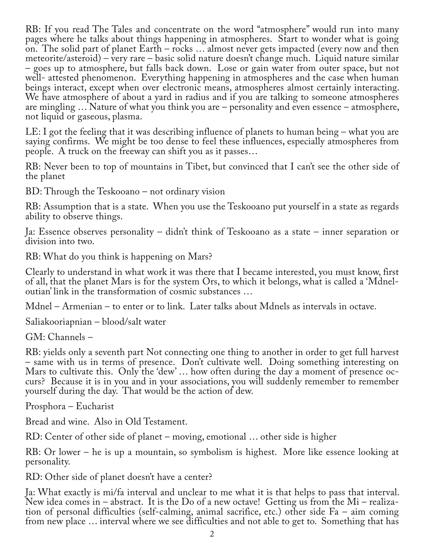RB: If you read The Tales and concentrate on the word "atmosphere" would run into many pages where he talks about things happening in atmospheres. Start to wonder what is going on. The solid part of planet Earth – rocks … almost never gets impacted (every now and then meteorite/asteroid) – very rare – basic solid nature doesn't change much. Liquid nature similar – goes up to atmosphere, but falls back down. Lose or gain water from outer space, but not well- attested phenomenon. Everything happening in atmospheres and the case when human beings interact, except when over electronic means, atmospheres almost certainly interacting. We have atmosphere of about a yard in radius and if you are talking to someone atmospheres are mingling … Nature of what you think you are – personality and even essence – atmosphere, not liquid or gaseous, plasma.

LE: I got the feeling that it was describing influence of planets to human being – what you are saying confirms. We might be too dense to feel these influences, especially atmospheres from people. A truck on the freeway can shift you as it passes…

RB: Never been to top of mountains in Tibet, but convinced that I can't see the other side of the planet

BD: Through the Teskooano – not ordinary vision

RB: Assumption that is a state. When you use the Teskooano put yourself in a state as regards ability to observe things.

Ja: Essence observes personality – didn't think of Teskooano as a state – inner separation or division into two.

RB: What do you think is happening on Mars?

Clearly to understand in what work it was there that I became interested, you must know, first of all, that the planet Mars is for the system Ors, to which it belongs, what is called a 'Mdneloutian' link in the transformation of cosmic substances …

Mdnel – Armenian – to enter or to link. Later talks about Mdnels as intervals in octave.

Saliakooriapnian – blood/salt water

GM: Channels –

RB: yields only a seventh part Not connecting one thing to another in order to get full harvest – same with us in terms of presence. Don't cultivate well. Doing something interesting on Mars to cultivate this. Only the 'dew' ... how often during the day a moment of presence occurs? Because it is in you and in your associations, you will suddenly remember to remember yourself during the day. That would be the action of dew.

Prosphora – Eucharist

Bread and wine. Also in Old Testament.

RD: Center of other side of planet – moving, emotional … other side is higher

RB: Or lower – he is up a mountain, so symbolism is highest. More like essence looking at personality.

RD: Other side of planet doesn't have a center?

Ja: What exactly is mi/fa interval and unclear to me what it is that helps to pass that interval.<br>New idea comes in – abstract. It is the Do of a new octave! Getting us from the Mi – realization of personal difficulties (self-calming, animal sacrifice, etc.) other side Fa – aim coming from new place … interval where we see difficulties and not able to get to. Something that has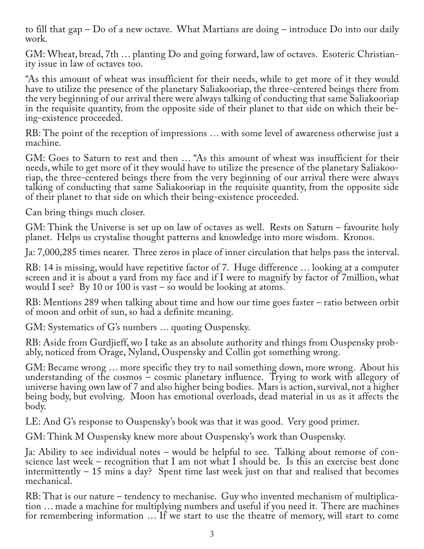to fill that gap – Do of a new octave. What Martians are doing – introduce Do into our daily work.

GM: Wheat, bread, 7th … planting Do and going forward, law of octaves. Esoteric Christian‐ ity issue in law of octaves too.

"As this amount of wheat was insufficient for their needs, while to get more of it they would have to utilize the presence of the planetary Saliakooriap, the three-centered beings there from the very beginning of our arrival there were always talking of conducting that same Saliakooriap in the requisite quantity, from the opposite side of their planet to that side on which their being-existence proceeded.

RB: The point of the reception of impressions … with some level of awareness otherwise just a machine.

GM: Goes to Saturn to rest and then ... "As this amount of wheat was insufficient for their needs, while to get more of it they would have to utilize the presence of the planetary Saliakooriap, the three-centered beings there from the very beginning of our arrival there were always talking of conducting that same Saliakooriap in the requisite quantity, from the opposite side of their planet to that side on which their being-existence proceeded.

Can bring things much closer.

GM: Think the Universe is set up on law of octaves as well. Rests on Saturn – favourite holy planet. Helps us crystalise thought patterns and knowledge into more wisdom. Kronos.

Ja: 7,000,285 times nearer. Three zeros in place of inner circulation that helps pass the interval.

RB: 14 is missing, would have repetitive factor of 7. Huge difference … looking at a computer screen and it is about a yard from my face and if I were to magnify by factor of 7million, what would I see? By 10 or 100 is vast – so would be looking at atoms.

RB: Mentions 289 when talking about time and how our time goes faster – ratio between orbit of moon and orbit of sun, so had a definite meaning.

GM: Systematics of G's numbers … quoting Ouspensky.

RB: Aside from Gurdjieff, wo I take as an absolute authority and things from Ouspensky probably, noticed from Orage, Nyland, Ouspensky and Collin got something wrong.

GM: Became wrong … more specific they try to nail something down, more wrong. About his understanding of the cosmos – cosmic planetary influence. Trying to work with allegory of universe having own law of 7 and also higher being bodies. Mars is action, survival, not a higher being body, but evolving. Moon has emotional overloads, dead material in us as it affects the body.

LE: And G's response to Ouspensky's book was that it was good. Very good primer.

GM: Think M Ouspensky knew more about Ouspensky's work than Ouspensky.

Ja: Ability to see individual notes – would be helpful to see. Talking about remorse of consideration that I am not what I should be. Is this an exercise best done intermittently – 15 mins a day? Spent time last week just on that and realised that becomes mechanical.

RB: That is our nature – tendency to mechanise. Guy who invented mechanism of multiplication … made a machine for multiplying numbers and useful if you need it. There are machines for remembering information … If we start to use the theatre of memory, will start to come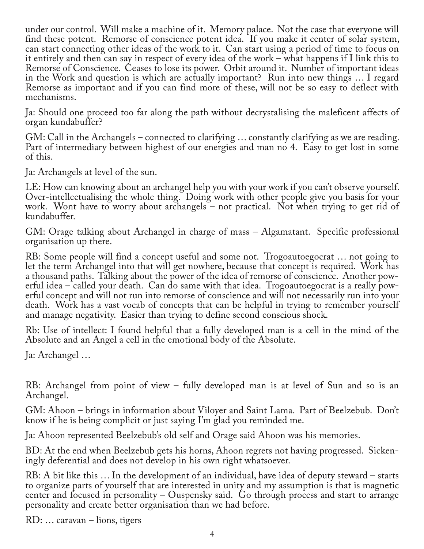under our control. Will make a machine of it. Memory palace. Not the case that everyone will find these potent. Remorse of conscience potent idea. If you make it center of solar system, can start connecting other ideas of the work to it. Can start using a period of time to focus on it entirely and then can say in respect of every idea of the work – what happens if I link this to Remorse of Conscience. Ceases to lose its power. Orbit around it. Number of important ideas in the Work and question is which are actually important? Run into new things … I regard Remorse as important and if you can find more of these, will not be so easy to deflect with mechanisms.

Ja: Should one proceed too far along the path without decrystalising the maleficent affects of organ kundabuffer?

GM: Call in the Archangels – connected to clarifying … constantly clarifying as we are reading. Part of intermediary between highest of our energies and man no 4. Easy to get lost in some of this.

Ja: Archangels at level of the sun.

LE: How can knowing about an archangel help you with your work if you can't observe yourself. Over-intellectualising the whole thing. Doing work with other people give you basis for your work. Wont have to worry about archangels – not practical. Not when trying to get rid of kundabuffer.

GM: Orage talking about Archangel in charge of mass – Algamatant. Specific professional organisation up there.

RB: Some people will find a concept useful and some not. Trogoautoegocrat … not going to let the term Archangel into that will get nowhere, because that concept is required. Work has a thousand paths. Talking about the power of the idea of remorse of conscience. Another pow‐ erful idea – called your death. Can do same with that idea. Trogoautoegocrat is a really powerful concept and will not run into remorse of conscience and will not necessarily run into your death. Work has a vast vocab of concepts that can be helpful in trying to remember yourself and manage negativity. Easier than trying to define second conscious shock.

Rb: Use of intellect: I found helpful that a fully developed man is a cell in the mind of the Absolute and an Angel a cell in the emotional body of the Absolute.

Ja: Archangel …

RB: Archangel from point of view – fully developed man is at level of Sun and so is an Archangel.

GM: Ahoon – brings in information about Viloyer and Saint Lama. Part of Beelzebub. Don't know if he is being complicit or just saying I'm glad you reminded me.

Ja: Ahoon represented Beelzebub's old self and Orage said Ahoon was his memories.

BD: At the end when Beelzebub gets his horns, Ahoon regrets not having progressed. Sicken‐ ingly deferential and does not develop in his own right whatsoever.

RB: A bit like this … In the development of an individual, have idea of deputy steward – starts to organize parts of yourself that are interested in unity and my assumption is that is magnetic center and focused in personality – Ouspensky said. Go through process and start to arrange personality and create better organisation than we had before.

RD: … caravan – lions, tigers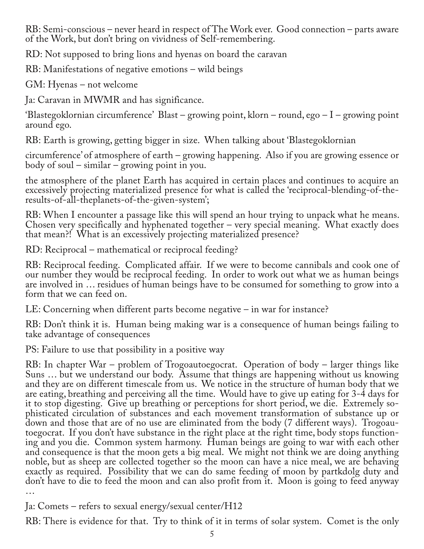RB: Semi-conscious – never heard in respect of The Work ever. Good connection – parts aware of the Work, but don't bring on vividness of Self-remembering.

RD: Not supposed to bring lions and hyenas on board the caravan

RB: Manifestations of negative emotions – wild beings

GM: Hyenas – not welcome

Ja: Caravan in MWMR and has significance.

'Blastegoklornian circumference' Blast – growing point, klorn – round, ego – I – growing point around ego.

RB: Earth is growing, getting bigger in size. When talking about 'Blastegoklornian

circumference' of atmosphere of earth – growing happening. Also if you are growing essence or body of soul – similar – growing point in you.

the atmosphere of the planet Earth has acquired in certain places and continues to acquire an excessively projecting materialized presence for what is called the 'reciprocal-blending-of-theresults-of-all-theplanets-of-the-given-system';

RB: When I encounter a passage like this will spend an hour trying to unpack what he means. Chosen very specifically and hyphenated together – very special meaning. What exactly does that mean?! What is an excessively projecting materialized presence?

RD: Reciprocal – mathematical or reciprocal feeding?

RB: Reciprocal feeding. Complicated affair. If we were to become cannibals and cook one of our number they would be reciprocal feeding. In order to work out what we as human beings are involved in … residues of human beings have to be consumed for something to grow into a form that we can feed on.

LE: Concerning when different parts become negative – in war for instance?

RB: Don't think it is. Human being making war is a consequence of human beings failing to take advantage of consequences

PS: Failure to use that possibility in a positive way

RB: In chapter War – problem of Trogoautoegocrat. Operation of body – larger things like Suns … but we understand our body. Assume that things are happening without us knowing and they are on different timescale from us. We notice in the structure of human body that we are eating, breathing and perceiving all the time. Would have to give up eating for 3-4 days for it to stop digesting. Give up breathing or perceptions for short period, we die. Extremely sophisticated circulation of substances and each movement transformation of substance up or down and those that are of no use are eliminated from the body (7 different ways). Trogoau‐ toegocrat. If you don't have substance in the right place at the right time, body stops function‐ ing and you die. Common system harmony. Human beings are going to war with each other and consequence is that the moon gets a big meal. We might not think we are doing anything noble, but as sheep are collected together so the moon can have a nice meal, we are behaving exactly as required. Possibility that we can do same feeding of moon by partkdolg duty and don't have to die to feed the moon and can also profit from it. Moon is going to feed anyway …

Ja: Comets – refers to sexual energy/sexual center/H12

RB: There is evidence for that. Try to think of it in terms of solar system. Comet is the only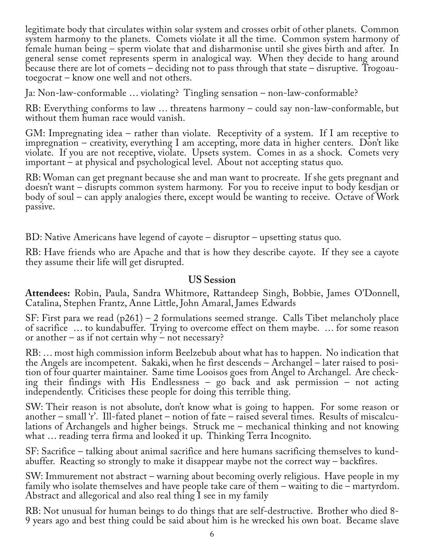legitimate body that circulates within solar system and crosses orbit of other planets. Common system harmony to the planets. Comets violate it all the time. Common system harmony of female human being – sperm violate that and disharmonise until she gives birth and after. In general sense comet represents sperm in analogical way. When they decide to hang around because there are lot of comets – deciding not to pass through that state – disruptive. Trogoau‐ toegocrat – know one well and not others.

Ja: Non-law-conformable … violating? Tingling sensation – non-law-conformable?

RB: Everything conforms to law … threatens harmony – could say non-law-conformable, but without them human race would vanish.

GM: Impregnating idea – rather than violate. Receptivity of a system. If I am receptive to impregnation – creativity, everything I am accepting, more data in higher centers. Don't like violate. If you are not receptive, violate. Upsets system. Comes in as a shock. Comets very important – at physical and psychological level. About not accepting status quo.

RB: Woman can get pregnant because she and man want to procreate. If she gets pregnant and doesn't want – disrupts common system harmony. For you to receive input to body kesdjan or body of soul – can apply analogies there, except would be wanting to receive. Octave of Work passive.

BD: Native Americans have legend of cayote – disruptor – upsetting status quo.

RB: Have friends who are Apache and that is how they describe cayote. If they see a cayote they assume their life will get disrupted.

## **US Session**

**Attendees:** Robin, Paula, Sandra Whitmore, Rattandeep Singh, Bobbie, James O'Donnell, Catalina, Stephen Frantz, Anne Little, John Amaral, James Edwards

SF: First para we read (p261) – 2 formulations seemed strange. Calls Tibet melancholy place of sacrifice … to kundabuffer. Trying to overcome effect on them maybe. … for some reason or another – as if not certain why – not necessary?

RB: … most high commission inform Beelzebub about what has to happen. No indication that the Angels are incompetent. Sakaki, when he first descends – Archangel – later raised to posi‐ tion of four quarter maintainer. Same time Looisos goes from Angel to Archangel. Are check‐ ing their findings with His Endlessness – go back and ask permission – not acting independently. Criticises these people for doing this terrible thing.

SW: Their reason is not absolute, don't know what is going to happen. For some reason or another – small 'r'. Ill-fated planet – notion of fate – raised several times. Results of miscalculations of Archangels and higher beings. Struck me – mechanical thinking and not knowing what … reading terra firma and looked it up. Thinking Terra Incognito.

SF: Sacrifice – talking about animal sacrifice and here humans sacrificing themselves to kund‐ abuffer. Reacting so strongly to make it disappear maybe not the correct way – backfires.

SW: Immurement not abstract – warning about becoming overly religious. Have people in my family who isolate themselves and have people take care of them – waiting to die – martyrdom. Abstract and allegorical and also real thing I see in my family

RB: Not unusual for human beings to do things that are self-destructive. Brother who died 8- 9 years ago and best thing could be said about him is he wrecked his own boat. Became slave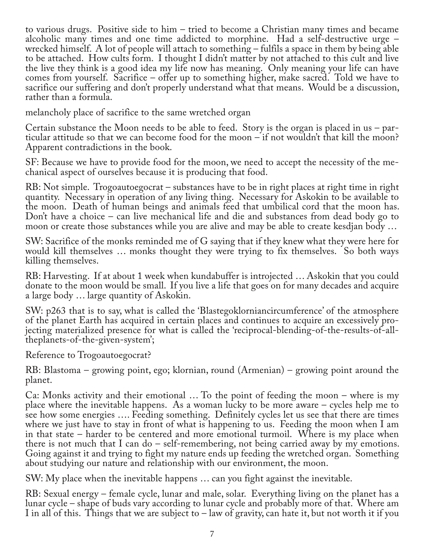to various drugs. Positive side to him – tried to become a Christian many times and became alcoholic many times and one time addicted to morphine. Had a self-destructive urge – wrecked himself. A lot of people will attach to something – fulfils a space in them by being able to be attached. How cults form. I thought I didn't matter by not attached to this cult and live the live they think is a good idea my life now has meaning. Only meaning your life can have comes from yourself. Sacrifice – offer up to something higher, make sacred. Told we have to sacrifice our suffering and don't properly understand what that means. Would be a discussion, rather than a formula.

melancholy place of sacrifice to the same wretched organ

Certain substance the Moon needs to be able to feed. Story is the organ is placed in us – par‐ ticular attitude so that we can become food for the moon – if not wouldn't that kill the moon? Apparent contradictions in the book.

SF: Because we have to provide food for the moon, we need to accept the necessity of the me‐ chanical aspect of ourselves because it is producing that food.

RB: Not simple. Trogoautoegocrat – substances have to be in right places at right time in right quantity. Necessary in operation of any living thing. Necessary for Askokin to be available to the moon. Death of human beings and animals feed that umbilical cord that the moon has. Don't have a choice – can live mechanical life and die and substances from dead body go to moon or create those substances while you are alive and may be able to create kesdjan body …

SW: Sacrifice of the monks reminded me of G saying that if they knew what they were here for would kill themselves … monks thought they were trying to fix themselves. So both ways killing themselves.

RB: Harvesting. If at about 1 week when kundabuffer is introjected … Askokin that you could donate to the moon would be small. If you live a life that goes on for many decades and acquire a large body … large quantity of Askokin.

SW: p263 that is to say, what is called the 'Blastegoklorniancircumference' of the atmosphere of the planet Earth has acquired in certain places and continues to acquire an excessively pro‐ jecting materialized presence for what is called the 'reciprocal-blending-of-the-results-of-alltheplanets-of-the-given-system';

Reference to Trogoautoegocrat?

RB: Blastoma – growing point, ego; klornian, round (Armenian) – growing point around the planet.

Ca: Monks activity and their emotional … To the point of feeding the moon – where is my place where the inevitable happens. As a woman lucky to be more aware – cycles help me to see how some energies …. Feeding something. Definitely cycles let us see that there are times where we just have to stay in front of what is happening to us. Feeding the moon when I am in that state – harder to be centered and more emotional turmoil. Where is my place when there is not much that I can do – self-remembering, not being carried away by my emotions. Going against it and trying to fight my nature ends up feeding the wretched organ. Something about studying our nature and relationship with our environment, the moon.

SW: My place when the inevitable happens … can you fight against the inevitable.

RB: Sexual energy – female cycle, lunar and male, solar. Everything living on the planet has a lunar cycle – shape of buds vary according to lunar cycle and probably more of that. Where am I in all of this. Things that we are subject to – law of gravity, can hate it, but not worth it if you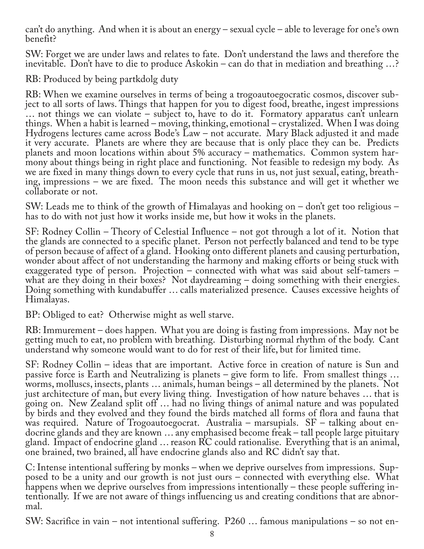can't do anything. And when it is about an energy – sexual cycle – able to leverage for one's own benefit?

SW: Forget we are under laws and relates to fate. Don't understand the laws and therefore the inevitable. Don't have to die to produce Askokin – can do that in mediation and breathing …?

RB: Produced by being partkdolg duty

RB: When we examine ourselves in terms of being a trogoautoegocratic cosmos, discover subject to all sorts of laws. Things that happen for you to digest food, breathe, ingest impressions … not things we can violate – subject to, have to do it. Formatory apparatus can't unlearn things. When a habit is learned – moving, thinking, emotional – crystalized. When I was doing Hydrogens lectures came across Bode's Law – not accurate. Mary Black adjusted it and made it very accurate. Planets are where they are because that is only place they can be. Predicts planets and moon locations within about 5% accuracy – mathematics. Common system harmony about things being in right place and functioning. Not feasible to redesign my body. As<br>we are fixed in many things down to every cycle that runs in us, not just sexual, eating, breathing, impressions – we are fixed. The moon needs this substance and will get it whether we collaborate or not.

SW: Leads me to think of the growth of Himalayas and hooking on – don't get too religious – has to do with not just how it works inside me, but how it woks in the planets.

SF: Rodney Collin – Theory of Celestial Influence – not got through a lot of it. Notion that the glands are connected to a specific planet. Person not perfectly balanced and tend to be type of person because of affect of a gland. Hooking onto different planets and causing perturbation, wonder about affect of not understanding the harmony and making efforts or being stuck with exaggerated type of person. Projection – connected with what was said about self-tamers – what are they doing in their boxes? Not daydreaming – doing something with their energies. Doing something with kundabuffer … calls materialized presence. Causes excessive heights of Himalayas.

BP: Obliged to eat? Otherwise might as well starve.

RB: Immurement – does happen. What you are doing is fasting from impressions. May not be getting much to eat, no problem with breathing. Disturbing normal rhythm of the body. Cant understand why someone would want to do for rest of their life, but for limited time.

SF: Rodney Collin – ideas that are important. Active force in creation of nature is Sun and passive force is Earth and Neutralizing is planets – give form to life. From smallest things … worms, molluscs, insects, plants … animals, human beings – all determined by the planets. Not just architecture of man, but every living thing. Investigation of how nature behaves … that is going on. New Zealand split off … had no living things of animal nature and was populated by birds and they evolved and they found the birds matched all forms of flora and fauna that was required. Nature of Trogoautoegocrat. Australia – marsupials. SF – talking about endocrine glands and they are known … any emphasised become freak – tall people large pituitary gland. Impact of endocrine gland … reason RC could rationalise. Everything that is an animal, one brained, two brained, all have endocrine glands also and RC didn't say that.

C: Intense intentional suffering by monks – when we deprive ourselves from impressions. Sup‐ posed to be a unity and our growth is not just ours – connected with everything else. What<br>happens when we deprive ourselves from impressions intentionally – these people suffering intentionally. If we are not aware of things influencing us and creating conditions that are abnor-<br>mal.

SW: Sacrifice in vain – not intentional suffering. P260 … famous manipulations – so not en‐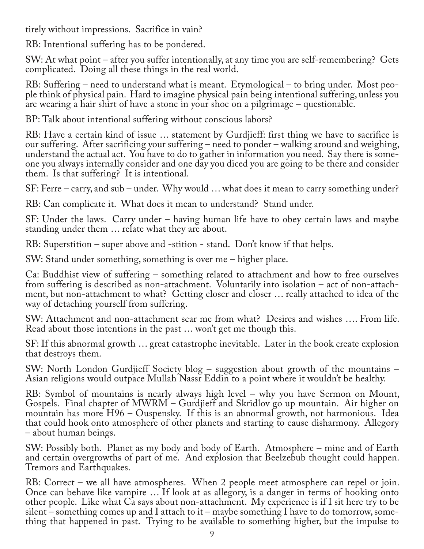tirely without impressions. Sacrifice in vain?

RB: Intentional suffering has to be pondered.

SW: At what point – after you suffer intentionally, at any time you are self-remembering? Gets complicated. Doing all these things in the real world.

RB: Suffering – need to understand what is meant. Etymological – to bring under. Most peo‐ ple think of physical pain. Hard to imagine physical pain being intentional suffering, unless you are wearing a hair shirt of have a stone in your shoe on a pilgrimage – questionable.

BP: Talk about intentional suffering without conscious labors?

RB: Have a certain kind of issue … statement by Gurdjieff: first thing we have to sacrifice is our suffering. After sacrificing your suffering – need to ponder – walking around and weighing, understand the actual act. You have to do to gather in information you need. Say there is some‐ one you always internally consider and one day you diced you are going to be there and consider them. Is that suffering? It is intentional.

SF: Ferre – carry, and sub – under. Why would … what does it mean to carry something under?

RB: Can complicate it. What does it mean to understand? Stand under.

SF: Under the laws. Carry under – having human life have to obey certain laws and maybe standing under them … relate what they are about.

RB: Superstition – super above and -stition - stand. Don't know if that helps.

SW: Stand under something, something is over me – higher place.

Ca: Buddhist view of suffering – something related to attachment and how to free ourselves from suffering is described as non-attachment. Voluntarily into isolation – act of non-attachment, but non-attachment to what? Getting closer and closer … really attached to idea of the way of detaching yourself from suffering.

SW: Attachment and non-attachment scar me from what? Desires and wishes …. From life. Read about those intentions in the past … won't get me though this.

SF: If this abnormal growth … great catastrophe inevitable. Later in the book create explosion that destroys them.

SW: North London Gurdjieff Society blog – suggestion about growth of the mountains – Asian religions would outpace Mullah Nassr Eddin to a point where it wouldn't be healthy.

RB: Symbol of mountains is nearly always high level – why you have Sermon on Mount, Gospels. Final chapter of MWRM – Gurdjieff and Skridlov go up mountain. Air higher on mountain has more H96 – Ouspensky. If this is an abnormal growth, not harmonious. Idea that could hook onto atmosphere of other planets and starting to cause disharmony. Allegory – about human beings.

SW: Possibly both. Planet as my body and body of Earth. Atmosphere – mine and of Earth and certain overgrowths of part of me. And explosion that Beelzebub thought could happen. Tremors and Earthquakes.

RB: Correct – we all have atmospheres. When 2 people meet atmosphere can repel or join. Once can behave like vampire … If look at as allegory, is a danger in terms of hooking onto other people. Like what Ca says about non-attachment. My experience is if I sit here try to be silent – something comes up and I attach to it – maybe something I have to do tomorrow, something that happened in past. Trying to be available to something higher, but the impulse to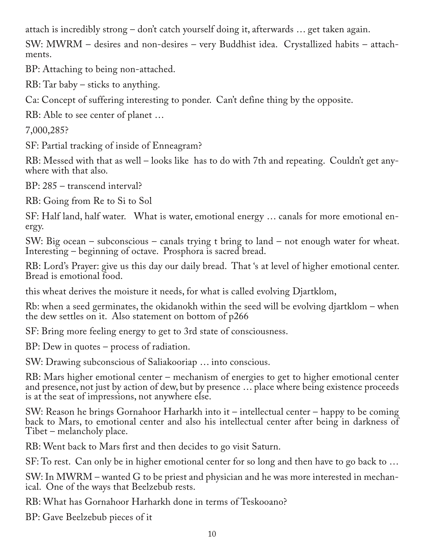attach is incredibly strong – don't catch yourself doing it, afterwards … get taken again.

SW: MWRM – desires and non-desires – very Buddhist idea. Crystallized habits – attach‐ ments.

BP: Attaching to being non-attached.

RB: Tar baby – sticks to anything.

Ca: Concept of suffering interesting to ponder. Can't define thing by the opposite.

RB: Able to see center of planet …

7,000,285?

SF: Partial tracking of inside of Enneagram?

RB: Messed with that as well – looks like has to do with 7th and repeating. Couldn't get any‐ where with that also.

BP: 285 – transcend interval?

RB: Going from Re to Si to Sol

SF: Half land, half water. What is water, emotional energy … canals for more emotional en‐ ergy.

SW: Big ocean – subconscious – canals trying t bring to land – not enough water for wheat. Interesting – beginning of octave. Prosphora is sacred bread.

RB: Lord's Prayer: give us this day our daily bread. That 's at level of higher emotional center. Bread is emotional food.

this wheat derives the moisture it needs, for what is called evolving Djartklom,

Rb: when a seed germinates, the okidanokh within the seed will be evolving djartklom – when the dew settles on it. Also statement on bottom of p266

SF: Bring more feeling energy to get to 3rd state of consciousness.

BP: Dew in quotes – process of radiation.

SW: Drawing subconscious of Saliakooriap … into conscious.

RB: Mars higher emotional center – mechanism of energies to get to higher emotional center and presence, not just by action of dew, but by presence … place where being existence proceeds is at the seat of impressions, not anywhere else.

SW: Reason he brings Gornahoor Harharkh into it – intellectual center – happy to be coming back to Mars, to emotional center and also his intellectual center after being in darkness of Tibet – melancholy place.

RB: Went back to Mars first and then decides to go visit Saturn.

SF: To rest. Can only be in higher emotional center for so long and then have to go back to …

SW: In MWRM – wanted G to be priest and physician and he was more interested in mechan-<br>ical. One of the ways that Beelzebub rests.

RB: What has Gornahoor Harharkh done in terms of Teskooano?

BP: Gave Beelzebub pieces of it